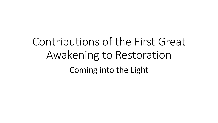# Contributions of the First Great Awakening to Restoration Coming into the Light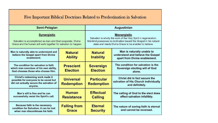| Five Important Biblical Doctrines Related to Predestination in Salvation                                                                            |                                       |                                                                                                                                                                                                                       |                                                                                                  |  |
|-----------------------------------------------------------------------------------------------------------------------------------------------------|---------------------------------------|-----------------------------------------------------------------------------------------------------------------------------------------------------------------------------------------------------------------------|--------------------------------------------------------------------------------------------------|--|
| Semi-Pelagian                                                                                                                                       |                                       | <b>Augustinian</b>                                                                                                                                                                                                    |                                                                                                  |  |
| <b>Synergistic</b><br>Salvation is accomplished as man and God cooperate. Divine<br>Grace and the human will work together for salvation to happen. |                                       | <b>Monergistic</b><br>Salvation is wholly the work of the Holy Spirit in regeneration.<br>Mankind possesses no inclination toward the Gospel in his natural<br>state and needs Divine Grace to be enabled to believe. |                                                                                                  |  |
| Man is naturally able to understand and<br>believe the Gospel apart from Divine<br>enablement.                                                      | <b>Natural</b><br><b>Ability</b>      | <b>Natural</b><br><b>Inability</b>                                                                                                                                                                                    | Man is naturally unable to<br>understand and believe the Gospel<br>apart from Divine enablement. |  |
| The condition for salvation is faith<br>which man exercises of his own ability.<br>God chooses those who choose Him.                                | <b>Prescient</b><br><b>Election</b>   | <b>Sovereign</b><br><b>Election</b>                                                                                                                                                                                   | The condition for salvation is the<br>Sovereign electing will of God<br>alone.                   |  |
| Christ's redeeming work made it<br>possible for everyone to be saved but<br>did not actually secure the salvation of<br>anyone.                     | <b>Universal</b><br><b>Redemption</b> | <b>Particular</b><br><b>Redemption</b>                                                                                                                                                                                | Christ did in fact secure the<br>salvation of His Church individually<br>and definitely.         |  |
| Man's will is free and he can<br>successfully resist the Spirit's call.                                                                             | <b>Human</b><br><b>Resistance</b>     | <b>Effectual</b><br><b>Calling</b>                                                                                                                                                                                    | The calling of God to the elect does<br>effect salvation infallibly.                             |  |
| Because faith is the necessary<br>condition for Salvation, it can be lost<br>when man discontinues his faith.                                       | <b>Falling from</b><br><b>Grace</b>   | <b>Eternal</b><br><b>Security</b>                                                                                                                                                                                     | The nature of saving faith is eternal<br>and cannot be reversed.                                 |  |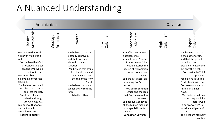#### A Nuanced Understanding

Arminianism Calvinism

Wesleyan

Arminianism Arminianisr Classical

You believe that God has given man a free will.

You believe that God has decided to elect anyone who would believe in Him. You most likely believe in a corporate election. You believe Jesus died for all in a legal sense and that the Holy Spirit calls all men to salvation through prevenient grace. You believe that once one believes, he is eternally secure. **Southern Baptists**

Arminian

You believe that man is totally depraved, and that God has elected some to salvation. You believe that Jesus died for all men and that man can resist the call of the Holy Spirit. You believe that man can fall away from the faith.

Lutheran

**Martin Luther**

Low Calvinism

Moderate Calvinism You affirm TULIP in its classical sense. You believe in "Double Predestination" but would describe the decree of reprobation as passive and not active. You are infralapsarian in viewing God's decrees You affirm common grace and the idea that God desires all to be saved. You believe God loves all the human race but has a special love for the elect. **Johnathan Edwards**

Calvinism

High

Hyper-<br>Calvinism You believe that God is the author of sin, and that the gospel should not be preached to everyone

but only the elect. You ascribe to TULIP precepts. You believe in Double Predestination in that God saves and damns sinners in similar ways.

You believe that man has no responsibility before God. To be "converted" is to believe all parts of **TULIP** The elect are eternally iustified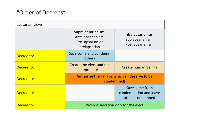#### "Order of Decrees"

| Lapsarian views |                                                                           |                                                              |  |  |
|-----------------|---------------------------------------------------------------------------|--------------------------------------------------------------|--|--|
|                 | Supralapsarianism<br>Antelapsarianism<br>Pre-lapsarian or<br>prelapsarian | Infralapsarianism<br>Sublapsarianism<br>Postlapsarianism     |  |  |
| Decree to:      | Save some and condemn<br>others                                           |                                                              |  |  |
| Decree to:      | Create the elect and the<br>reprobate                                     | Create human beings                                          |  |  |
| Decree to:      | Authorize the Fall (by which all deserve to be<br>condemned)              |                                                              |  |  |
| Decree to:      |                                                                           | Save some from<br>condemnation and leave<br>others condemned |  |  |
| Decree to:      | Provide salvation only for the elect                                      |                                                              |  |  |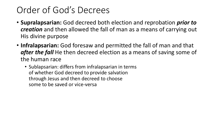#### Order of God's Decrees

- **Supralapsarian:** God decreed both election and reprobation *prior to creation* and then allowed the fall of man as a means of carrying out His divine purpose
- **Infralapsarian:** God foresaw and permitted the fall of man and that *after the fall* He then decreed election as a means of saving some of the human race
	- Sublapsarian: differs from infralapsarian in terms of whether God decreed to provide salvation through Jesus and then decreed to choose some to be saved or vice-versa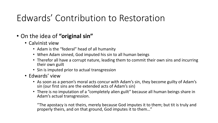### Edwards' Contribution to Restoration

- On the idea of **"original sin"**
	- Calvinist view
		- Adam is the "federal" head of all humanity
		- When Adam sinned, God imputed his sin to all human beings
		- Therefor all have a corrupt nature, leading them to commit their own sins and incurring their own guilt
		- Sin is imputed prior to actual transgression
	- Edwards' view
		- As soon as a person's moral acts concur with Adam's sin, they become guilty of Adam's sin (our first sins are the extended acts of Adam's sin)
		- There is no imputation of a "completely alien guilt" because all human beings share in Adam's actual transgression.

"The apostacy is not theirs, merely because God imputes it to them; but tit is truly and properly theirs, and on that ground, God imputes it to them…"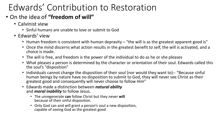## Edwards' Contribution to Restoration

- On the idea of **"freedom of will"**
	- Calvinist view
		- Sinful humans are unable to love or submit to God
	- Edwards' view
		- Human freedom is consistent with human depravity "the will is as the greatest apparent good is"
		- Once the mind discerns what action results in the greatest benefit to self, the will is activated, and a choice is made.
		- The will is free, and freedom is the power of the individual to do as he or she pleases
		- What pleases a person is determined by the character or orientation of their soul. Edwards called this the soul's "disposition"
		- Individuals cannot change the disposition of their soul (nor would they want to)-- "Because sinful human beings by nature have no disposition to submit to God, they will never see Christ as their greatest good and consequently will never choose to follow Him"
		- Edwards made a distinction between *natural ability*  and *moral inability* to follow Jesus.
			- The unregenerate **can** follow Christ but they never **will** because of their sinful disposition.
			- Only God can and will grant a person's soul a new disposition, capable of seeing God as the greatest good